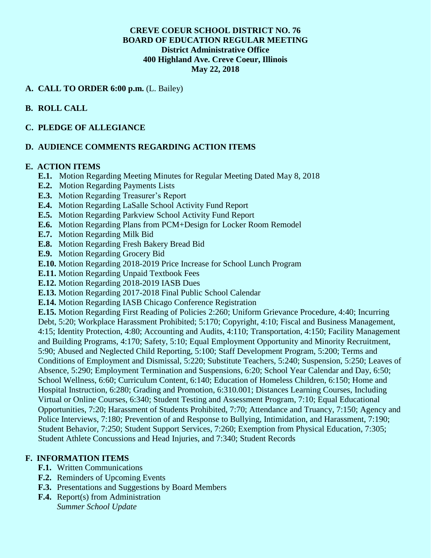## **CREVE COEUR SCHOOL DISTRICT NO. 76 BOARD OF EDUCATION REGULAR MEETING District Administrative Office 400 Highland Ave. Creve Coeur, Illinois May 22, 2018**

#### **A. CALL TO ORDER 6:00 p.m.** (L. Bailey)

# **B. ROLL CALL**

#### **C. PLEDGE OF ALLEGIANCE**

# **D. AUDIENCE COMMENTS REGARDING ACTION ITEMS**

#### **E. ACTION ITEMS**

- **E.1.** Motion Regarding Meeting Minutes for Regular Meeting Dated May 8, 2018
- **E.2.** Motion Regarding Payments Lists
- **E.3.** Motion Regarding Treasurer's Report
- **E.4.** Motion Regarding LaSalle School Activity Fund Report
- **E.5.** Motion Regarding Parkview School Activity Fund Report
- **E.6.** Motion Regarding Plans from PCM+Design for Locker Room Remodel
- **E.7.** Motion Regarding Milk Bid
- **E.8.** Motion Regarding Fresh Bakery Bread Bid
- **E.9.** Motion Regarding Grocery Bid
- **E.10.** Motion Regarding 2018-2019 Price Increase for School Lunch Program
- **E.11.** Motion Regarding Unpaid Textbook Fees
- **E.12.** Motion Regarding 2018-2019 IASB Dues
- **E.13.** Motion Regarding 2017-2018 Final Public School Calendar
- **E.14.** Motion Regarding IASB Chicago Conference Registration

**E.15.** Motion Regarding First Reading of Policies 2:260; Uniform Grievance Procedure, 4:40; Incurring Debt, 5:20; Workplace Harassment Prohibited; 5:170; Copyright, 4:10; Fiscal and Business Management, 4:15; Identity Protection, 4:80; Accounting and Audits, 4:110; Transportation, 4:150; Facility Management and Building Programs, 4:170; Safety, 5:10; Equal Employment Opportunity and Minority Recruitment, 5:90; Abused and Neglected Child Reporting, 5:100; Staff Development Program, 5:200; Terms and Conditions of Employment and Dismissal, 5:220; Substitute Teachers, 5:240; Suspension, 5:250; Leaves of Absence, 5:290; Employment Termination and Suspensions, 6:20; School Year Calendar and Day, 6:50; School Wellness, 6:60; Curriculum Content, 6:140; Education of Homeless Children, 6:150; Home and Hospital Instruction, 6:280; Grading and Promotion, 6:310.001; Distances Learning Courses, Including Virtual or Online Courses, 6:340; Student Testing and Assessment Program, 7:10; Equal Educational Opportunities, 7:20; Harassment of Students Prohibited, 7:70; Attendance and Truancy, 7:150; Agency and Police Interviews, 7:180; Prevention of and Response to Bullying, Intimidation, and Harassment, 7:190; Student Behavior, 7:250; Student Support Services, 7:260; Exemption from Physical Education, 7:305; Student Athlete Concussions and Head Injuries, and 7:340; Student Records

# **F. INFORMATION ITEMS**

- **F.1.** Written Communications
- **F.2.** Reminders of Upcoming Events
- **F.3.** Presentations and Suggestions by Board Members
- **F.4.** Report(s) from Administration *Summer School Update*